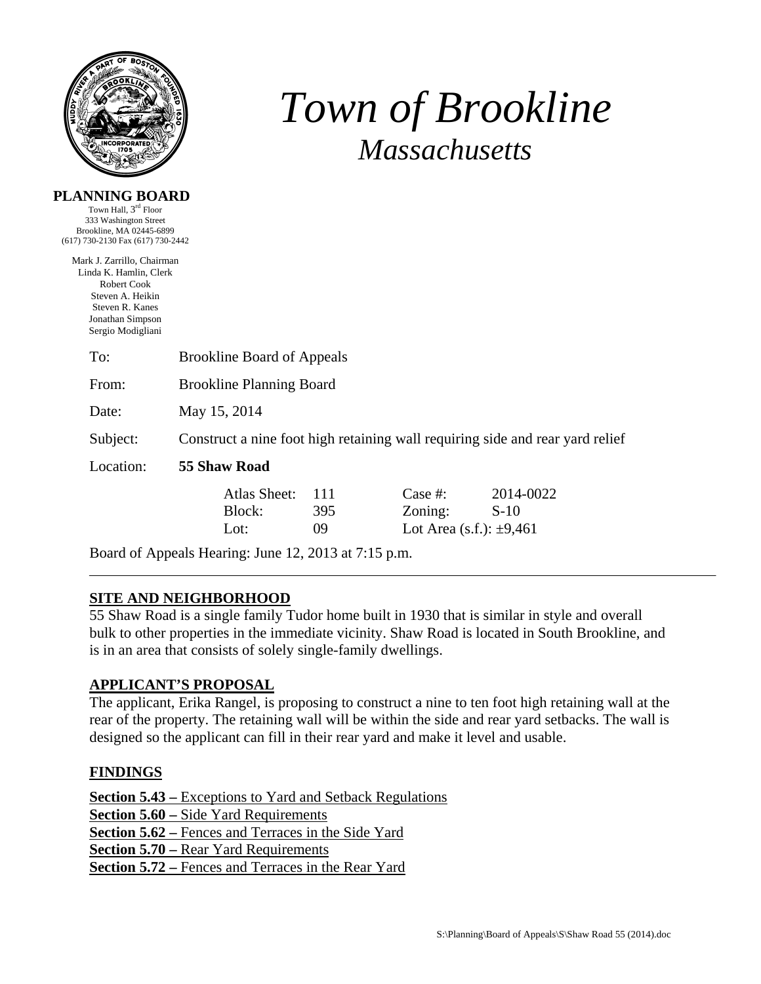

**PLANNING BOARD**  Town Hall, 3rd Floor

# *Town of Brookline Massachusetts*

| 333 Washington Street<br>Brookline, MA 02445-6899    |                                                                               |     |                              |           |  |  |
|------------------------------------------------------|-------------------------------------------------------------------------------|-----|------------------------------|-----------|--|--|
| (617) 730-2130 Fax (617) 730-2442                    |                                                                               |     |                              |           |  |  |
| Mark J. Zarrillo, Chairman<br>Linda K. Hamlin, Clerk |                                                                               |     |                              |           |  |  |
| Robert Cook                                          |                                                                               |     |                              |           |  |  |
| Steven A. Heikin                                     |                                                                               |     |                              |           |  |  |
| Steven R. Kanes<br>Jonathan Simpson                  |                                                                               |     |                              |           |  |  |
| Sergio Modigliani                                    |                                                                               |     |                              |           |  |  |
| To:                                                  | <b>Brookline Board of Appeals</b>                                             |     |                              |           |  |  |
| From:                                                | <b>Brookline Planning Board</b>                                               |     |                              |           |  |  |
| Date:                                                | May 15, 2014                                                                  |     |                              |           |  |  |
| Subject:                                             | Construct a nine foot high retaining wall requiring side and rear yard relief |     |                              |           |  |  |
| Location:                                            | 55 Shaw Road                                                                  |     |                              |           |  |  |
|                                                      | Atlas Sheet:                                                                  | 111 | Case $#$ :                   | 2014-0022 |  |  |
|                                                      | Block:                                                                        | 395 | Zoning:                      | $S-10$    |  |  |
|                                                      | Lot:                                                                          | 09  | Lot Area (s.f.): $\pm 9,461$ |           |  |  |

Board of Appeals Hearing: June 12, 2013 at 7:15 p.m.

## **SITE AND NEIGHBORHOOD**

55 Shaw Road is a single family Tudor home built in 1930 that is similar in style and overall bulk to other properties in the immediate vicinity. Shaw Road is located in South Brookline, and is in an area that consists of solely single-family dwellings.

#### **APPLICANT'S PROPOSAL**

The applicant, Erika Rangel, is proposing to construct a nine to ten foot high retaining wall at the rear of the property. The retaining wall will be within the side and rear yard setbacks. The wall is designed so the applicant can fill in their rear yard and make it level and usable.

## **FINDINGS**

**Section 5.43 –** Exceptions to Yard and Setback Regulations **Section 5.60 –** Side Yard Requirements **Section 5.62 –** Fences and Terraces in the Side Yard **Section 5.70 –** Rear Yard Requirements **Section 5.72 –** Fences and Terraces in the Rear Yard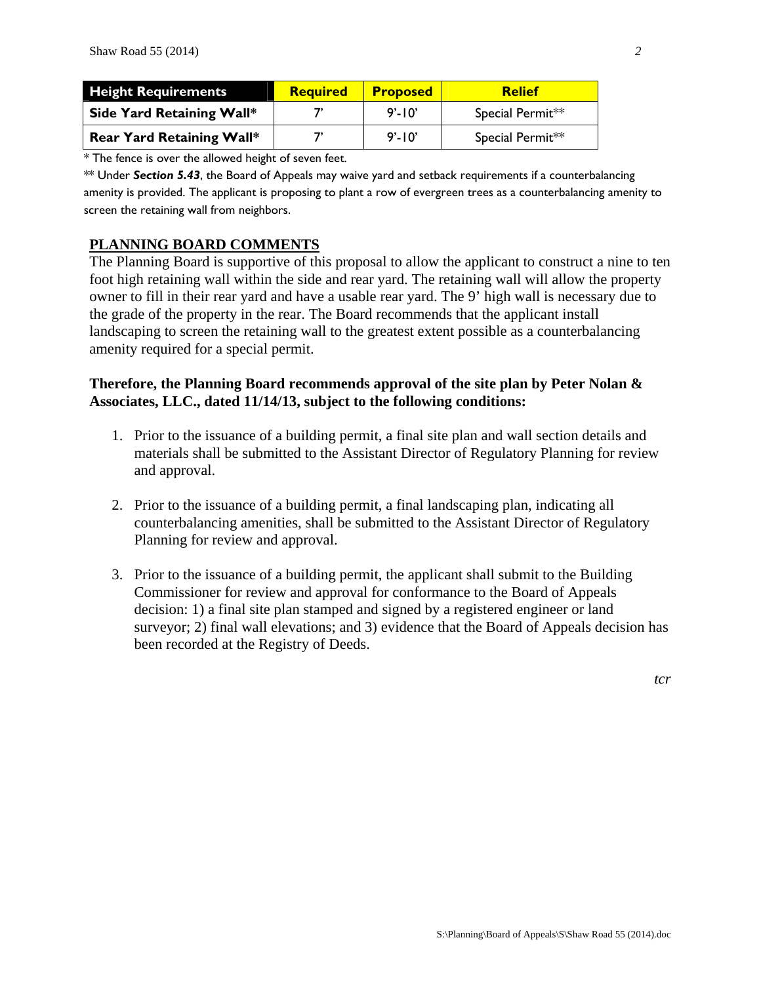| <b>Height Requirements</b>       | <b>Required</b> | <b>Proposed</b> | <b>Relief</b>    |
|----------------------------------|-----------------|-----------------|------------------|
| Side Yard Retaining Wall*        |                 | $9' - 10'$      | Special Permit** |
| <b>Rear Yard Retaining Wall*</b> |                 | $9' - 10'$      | Special Permit** |

\* The fence is over the allowed height of seven feet.

\*\* Under *Section 5.43*, the Board of Appeals may waive yard and setback requirements if a counterbalancing amenity is provided. The applicant is proposing to plant a row of evergreen trees as a counterbalancing amenity to screen the retaining wall from neighbors.

#### **PLANNING BOARD COMMENTS**

The Planning Board is supportive of this proposal to allow the applicant to construct a nine to ten foot high retaining wall within the side and rear yard. The retaining wall will allow the property owner to fill in their rear yard and have a usable rear yard. The 9' high wall is necessary due to the grade of the property in the rear. The Board recommends that the applicant install landscaping to screen the retaining wall to the greatest extent possible as a counterbalancing amenity required for a special permit.

### **Therefore, the Planning Board recommends approval of the site plan by Peter Nolan & Associates, LLC., dated 11/14/13, subject to the following conditions:**

- 1. Prior to the issuance of a building permit, a final site plan and wall section details and materials shall be submitted to the Assistant Director of Regulatory Planning for review and approval.
- 2. Prior to the issuance of a building permit, a final landscaping plan, indicating all counterbalancing amenities, shall be submitted to the Assistant Director of Regulatory Planning for review and approval.
- 3. Prior to the issuance of a building permit, the applicant shall submit to the Building Commissioner for review and approval for conformance to the Board of Appeals decision: 1) a final site plan stamped and signed by a registered engineer or land surveyor; 2) final wall elevations; and 3) evidence that the Board of Appeals decision has been recorded at the Registry of Deeds.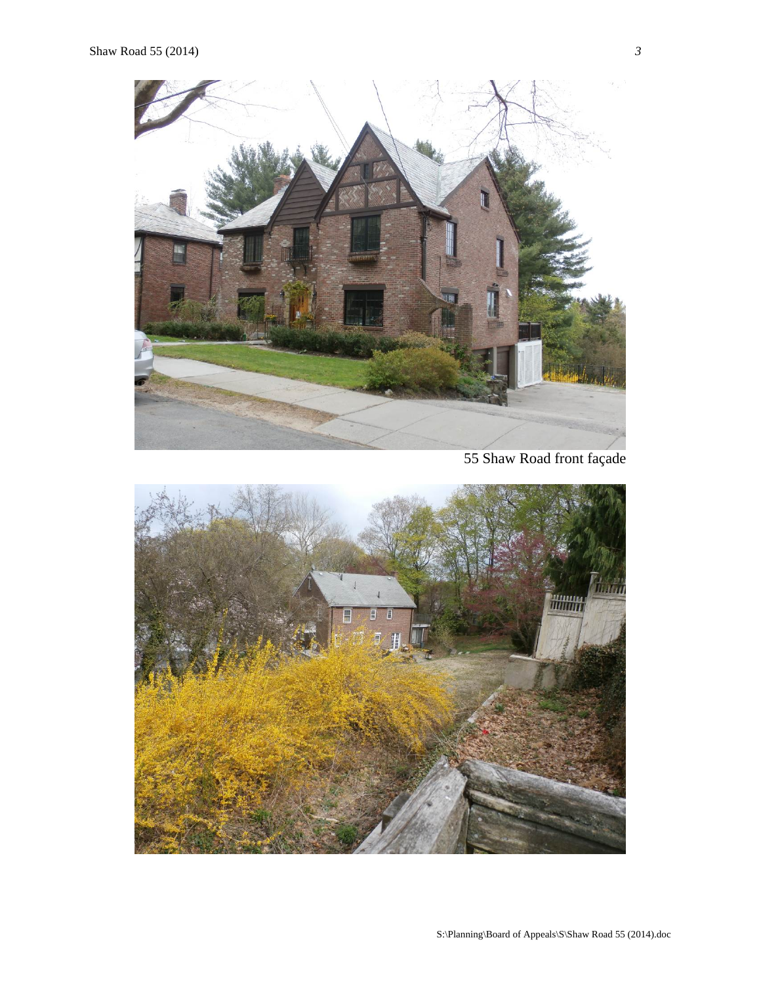

55 Shaw Road front façade